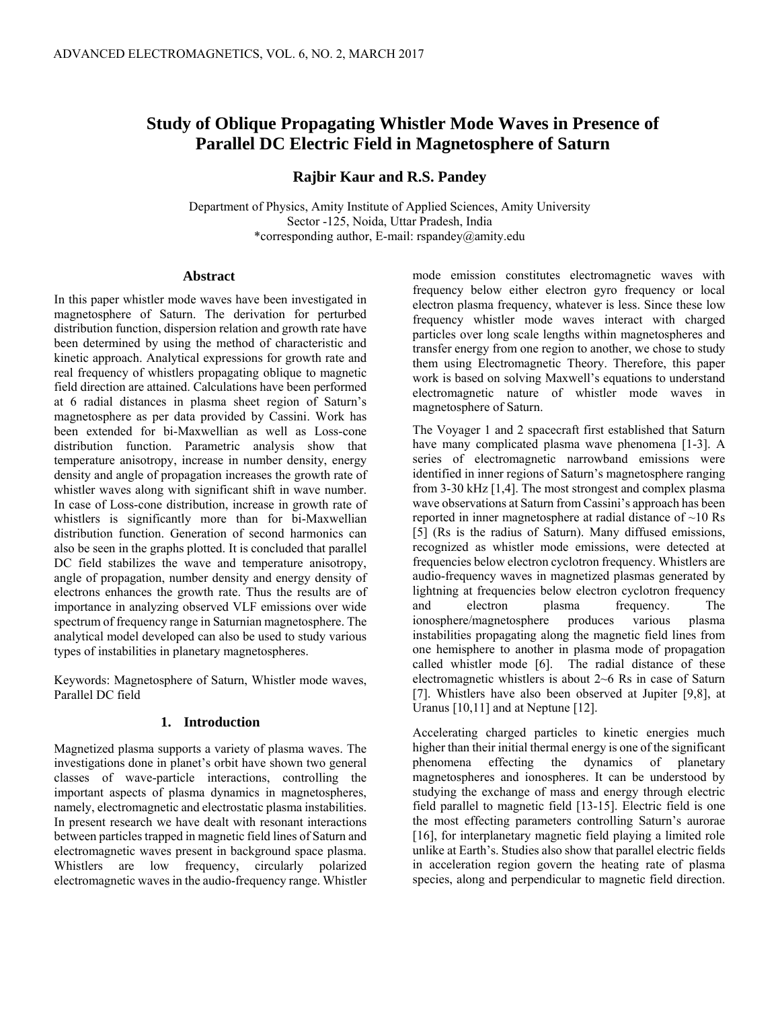# **Study of Oblique Propagating Whistler Mode Waves in Presence of Parallel DC Electric Field in Magnetosphere of Saturn**

# **Rajbir Kaur and R.S. Pandey**

Department of Physics, Amity Institute of Applied Sciences, Amity University Sector -125, Noida, Uttar Pradesh, India \*corresponding author, E-mail: rspandey@amity.edu

## **Abstract**

In this paper whistler mode waves have been investigated in magnetosphere of Saturn. The derivation for perturbed distribution function, dispersion relation and growth rate have been determined by using the method of characteristic and kinetic approach. Analytical expressions for growth rate and real frequency of whistlers propagating oblique to magnetic field direction are attained. Calculations have been performed at 6 radial distances in plasma sheet region of Saturn's magnetosphere as per data provided by Cassini. Work has been extended for bi-Maxwellian as well as Loss-cone distribution function. Parametric analysis show that temperature anisotropy, increase in number density, energy density and angle of propagation increases the growth rate of whistler waves along with significant shift in wave number. In case of Loss-cone distribution, increase in growth rate of whistlers is significantly more than for bi-Maxwellian distribution function. Generation of second harmonics can also be seen in the graphs plotted. It is concluded that parallel DC field stabilizes the wave and temperature anisotropy, angle of propagation, number density and energy density of electrons enhances the growth rate. Thus the results are of importance in analyzing observed VLF emissions over wide spectrum of frequency range in Saturnian magnetosphere. The analytical model developed can also be used to study various types of instabilities in planetary magnetospheres.

Keywords: Magnetosphere of Saturn, Whistler mode waves, Parallel DC field

## **1. Introduction**

Magnetized plasma supports a variety of plasma waves. The investigations done in planet's orbit have shown two general classes of wave-particle interactions, controlling the important aspects of plasma dynamics in magnetospheres, namely, electromagnetic and electrostatic plasma instabilities. In present research we have dealt with resonant interactions between particles trapped in magnetic field lines of Saturn and electromagnetic waves present in background space plasma. Whistlers are low frequency, circularly polarized electromagnetic waves in the audio-frequency range. Whistler

mode emission constitutes electromagnetic waves with frequency below either electron gyro frequency or local electron plasma frequency, whatever is less. Since these low frequency whistler mode waves interact with charged particles over long scale lengths within magnetospheres and transfer energy from one region to another, we chose to study them using Electromagnetic Theory. Therefore, this paper work is based on solving Maxwell's equations to understand electromagnetic nature of whistler mode waves in magnetosphere of Saturn.

The Voyager 1 and 2 spacecraft first established that Saturn have many complicated plasma wave phenomena [1-3]. A series of electromagnetic narrowband emissions were identified in inner regions of Saturn's magnetosphere ranging from 3-30 kHz [1,4]. The most strongest and complex plasma wave observations at Saturn from Cassini's approach has been reported in inner magnetosphere at radial distance of ~10 Rs [5] (Rs is the radius of Saturn). Many diffused emissions, recognized as whistler mode emissions, were detected at frequencies below electron cyclotron frequency. Whistlers are audio-frequency waves in magnetized plasmas generated by lightning at frequencies below electron cyclotron frequency and electron plasma frequency. The ionosphere/magnetosphere produces various plasma instabilities propagating along the magnetic field lines from one hemisphere to another in plasma mode of propagation called whistler mode [6]. The radial distance of these electromagnetic whistlers is about 2~6 Rs in case of Saturn [7]. Whistlers have also been observed at Jupiter [9,8], at Uranus [10,11] and at Neptune [12].

Accelerating charged particles to kinetic energies much higher than their initial thermal energy is one of the significant phenomena effecting the dynamics of planetary magnetospheres and ionospheres. It can be understood by studying the exchange of mass and energy through electric field parallel to magnetic field [13-15]. Electric field is one the most effecting parameters controlling Saturn's aurorae [16], for interplanetary magnetic field playing a limited role unlike at Earth's. Studies also show that parallel electric fields in acceleration region govern the heating rate of plasma species, along and perpendicular to magnetic field direction.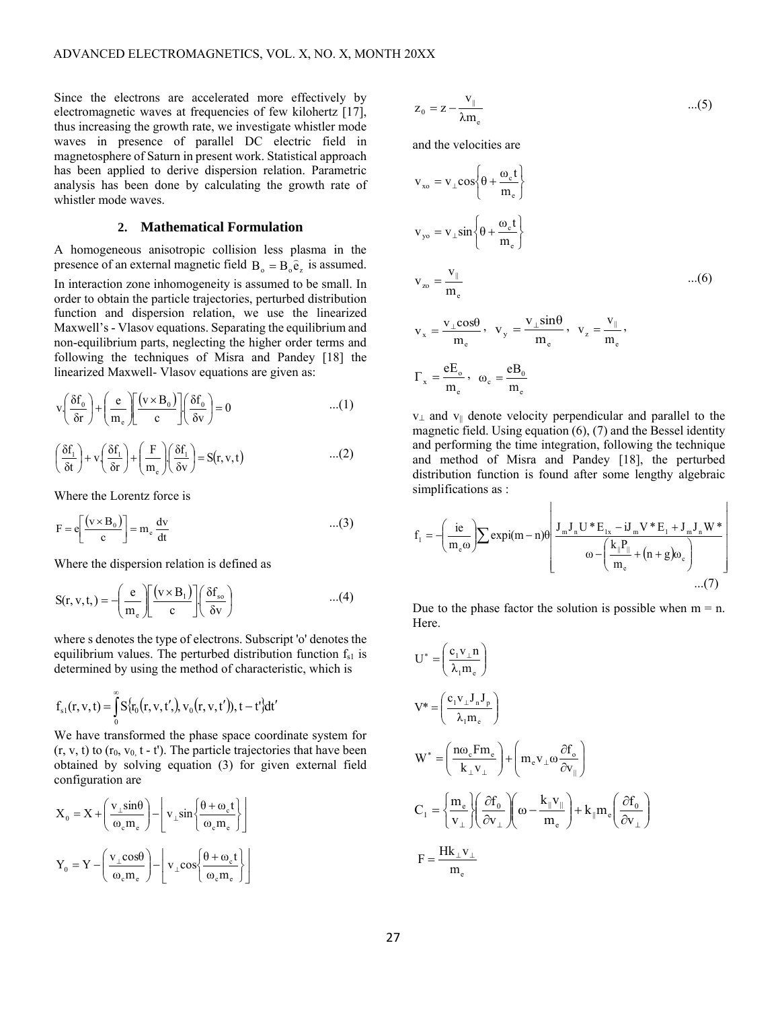Since the electrons are accelerated more effectively by electromagnetic waves at frequencies of few kilohertz [17], thus increasing the growth rate, we investigate whistler mode waves in presence of parallel DC electric field in magnetosphere of Saturn in present work. Statistical approach has been applied to derive dispersion relation. Parametric analysis has been done by calculating the growth rate of whistler mode waves.

## **2. Mathematical Formulation**

A homogeneous anisotropic collision less plasma in the presence of an external magnetic field  $B_0 = B_0 \hat{e}_z$  is assumed. In interaction zone inhomogeneity is assumed to be small. In order to obtain the particle trajectories, perturbed distribution function and dispersion relation, we use the linearized Maxwell's - Vlasov equations. Separating the equilibrium and non-equilibrium parts, neglecting the higher order terms and following the techniques of Misra and Pandey [18] the

linearized Maxwell- Vlasov equations are given as:  
\n
$$
v \left( \frac{\delta f_0}{\delta r} \right) + \left( \frac{e}{m_e} \right) \left[ \left( \frac{(v \times B_0)}{c} \right) \right] \left( \frac{\delta f_0}{\delta v} \right) = 0 \qquad \qquad ...(1)
$$

$$
\left(\frac{\delta f_1}{\delta t}\right) + v \left(\frac{\delta f_1}{\delta r}\right) + \left(\frac{F}{m_e}\right) \left(\frac{\delta f_1}{\delta v}\right) = S(r, v, t) \tag{2}
$$

Where the Lorentz force is

$$
F = e \left[ \frac{(v \times B_0)}{c} \right] = m_e \frac{dv}{dt}
$$
...(3)

Where the dispersion relation is defined as  
\n
$$
S(r, v, t, ) = -\left(\frac{e}{m_e}\right) \left[\frac{(v \times B_1)}{c}\right] \left(\frac{\delta f_{so}}{\delta v}\right) \qquad ...(4)
$$

where s denotes the type of electrons. Subscript 'o' denotes the equilibrium values. The perturbed distribution function  $f_{s1}$  is determined by using the method of characteristic, which is

determined by using the method of characterize  

$$
f_{s1}(r, v, t) = \int_{0}^{\infty} S\{r_0(r, v, t'), v_0(r, v, t'), t - t'\} dt'
$$

We have transformed the phase space coordinate system for  $(r, v, t)$  to  $(r_0, v_0, t - t')$ . The particle trajectories that have been obtained by solving equation (3) for given external field configuration are

$$
X_0 = X + \left(\frac{v_{\perp} \sin \theta}{\omega_c m_e}\right) - \left[v_{\perp} \sin \left\{\frac{\theta + \omega_c t}{\omega_c m_e}\right\}\right]
$$

$$
Y_0 = Y - \left(\frac{v_{\perp} \cos \theta}{\omega_c m_e}\right) - \left[v_{\perp} \cos \left\{\frac{\theta + \omega_c t}{\omega_c m_e}\right\}\right]
$$

$$
z_0 = z - \frac{v_{\parallel}}{\lambda m_e} \tag{5}
$$

and the velocities are

$$
v_{xo} = v_{\perp} \cos \left\{ \theta + \frac{\omega_{c} t}{m_{e}} \right\}
$$
  
\n
$$
v_{yo} = v_{\perp} \sin \left\{ \theta + \frac{\omega_{c} t}{m_{e}} \right\}
$$
  
\n
$$
v_{zo} = \frac{v_{\parallel}}{m_{e}}
$$
...(6)  
\n
$$
v_{x} = \frac{v_{\perp} \cos \theta}{m_{e}}, \quad v_{y} = \frac{v_{\perp} \sin \theta}{m_{e}}, \quad v_{z} = \frac{v_{\parallel}}{m_{e}},
$$
  
\n
$$
\Gamma_{x} = \frac{eE_{o}}{m_{e}}, \quad \omega_{c} = \frac{eB_{o}}{m_{e}}
$$

 $v_{\perp}$  and  $v_{\parallel}$  denote velocity perpendicular and parallel to the magnetic field. Using equation (6), (7) and the Bessel identity and performing the time integration, following the technique and method of Misra and Pandey [18], the perturbed distribution function is found after some lengthy algebraic simplifications as :

 $\mathbf{L}$ 

$$
f_1 = -\left(\frac{ie}{m_e \omega}\right) \sum \exp i(m-n)\theta \left[ \frac{J_m J_n U^* E_{1x} - iJ_m V^* E_1 + J_m J_n W^*}{\omega - \left(\frac{k_{\parallel} P_{\parallel}}{m_e} + (n+g) \omega_c\right)} \right]
$$
...(7)

 $\mathbf{I}$ 

Due to the phase factor the solution is possible when  $m = n$ . Here.

$$
U^* = \left(\frac{c_1 v_\perp n}{\lambda_1 m_e}\right)
$$
  
\n
$$
V^* = \left(\frac{c_1 v_\perp J_n J_p}{\lambda_1 m_e}\right)
$$
  
\n
$$
W^* = \left(\frac{n\omega_e F m_e}{k_\perp v_\perp}\right) + \left(m_e v_\perp \omega \frac{\partial f_o}{\partial v_\parallel}\right)
$$
  
\n
$$
C_1 = \left\{\frac{m_e}{v_\perp}\right\} \left(\frac{\partial f_o}{\partial v_\perp}\right) \left(\omega - \frac{k_\parallel v_\parallel}{m_e}\right) + k_\parallel m_e \left(\frac{\partial f_o}{\partial v_\perp}\right)
$$
  
\n
$$
F = \frac{H k_\perp v_\perp}{m_e}
$$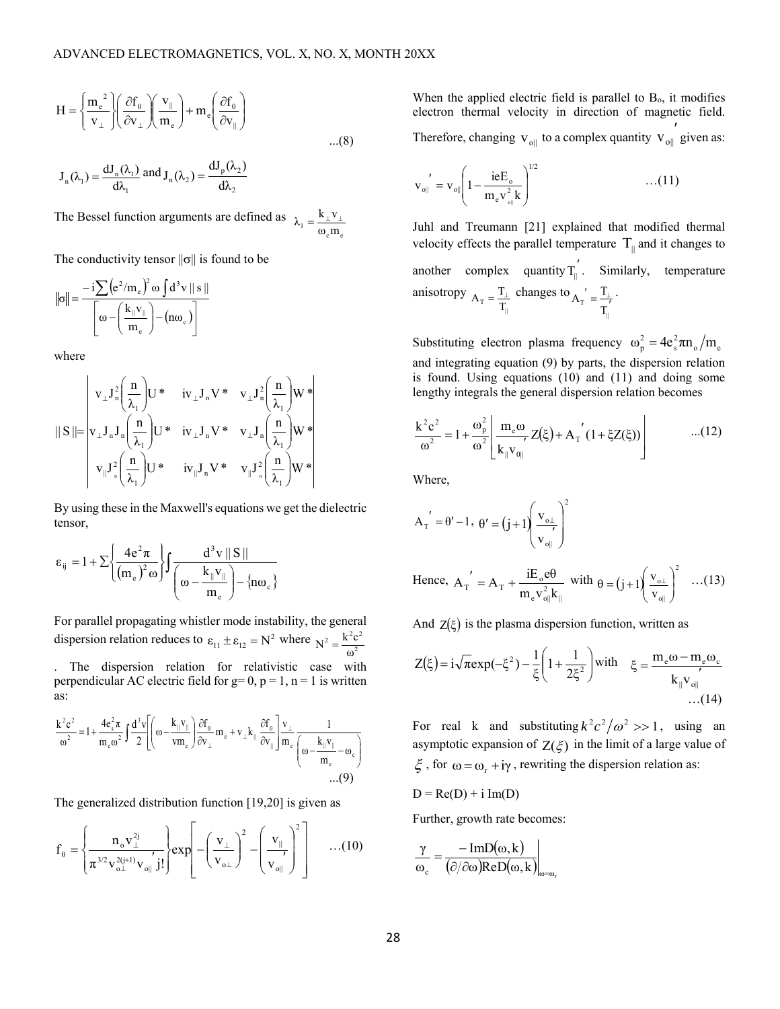$$
H = \left\{ \frac{m_e^2}{v_\perp} \right\} \left( \frac{\partial f_0}{\partial v_\perp} \right) \left( \frac{v_\parallel}{m_e} \right) + m_e \left( \frac{\partial f_0}{\partial v_\parallel} \right)
$$
...(8)

$$
J_n(\lambda_1) = \frac{dJ_n(\lambda_1)}{d\lambda_1} \text{ and } J_n(\lambda_2) = \frac{dJ_p(\lambda_2)}{d\lambda_2}
$$

The Bessel function arguments are defined as  $\lambda$ 1  $k_{\perp}$ v  $=$ 

$$
v_1 = \frac{\mathbf{K}_{\perp} \mathbf{V}_{\perp}}{\omega_c \mathbf{m}_e}
$$

The conductivity tensor 
$$
||\sigma||
$$
 is found to be  
\n
$$
||\sigma|| = \frac{-i\sum (e^2/m_e)^2 \omega \int d^3v ||s||}{\omega - (\frac{k_{\parallel}v_{\parallel}}{m_e}) - (n\omega_e)}
$$

where

$$
\parallel S\parallel=\left|v_\perp J_n^2\left(\frac{n}{\lambda_1}\right)U^*~~iv_\perp J_nV^*~~v_\perp J_n^2\left(\frac{n}{\lambda_1}\right)W*\right|\\ \parallel S\parallel=\left|v_\perp J_nJ_n\left(\frac{n}{\lambda_1}\right)U^*~~iv_\perp J_nV^*~~v_\perp J_n\left(\frac{n}{\lambda_1}\right)W*\right|\\ \left|v_\parallel J_n^2\left(\frac{n}{\lambda_1}\right)U^*~~iv_\parallel J_nV^*~~v_\parallel J_n^2\left(\frac{n}{\lambda_1}\right)W^*\right|\\
$$

By using these in the Maxwell's equations we get the dielectric tensor,

$$
\epsilon_{ij}=1+\Sigma\Bigg\{\frac{4e^2\pi}{\left(m_e\right)^2\omega}\Bigg\}\int\frac{d^3v\,\|\,S\,\|}{\left(\omega-\frac{k_{\parallel}v_{\parallel}}{m_e}\right)-\left\{n\omega_{\mathrm{c}}\right\}}
$$

For parallel propagating whistler mode instability, the general dispersion relation reduces to  $\varepsilon_{11} \pm \varepsilon_{12} = N^2$  where  $N^2 = \frac{k^2 c}{\sigma^2}$  $N^2 = \frac{k^2 c^2}{\omega^2}$ . The dispersion relation for relativistic case with perpendicular AC electric field for  $g=0$ ,  $p=1$ ,  $n=1$  is written as:

$$
\frac{k^2c^2}{\omega^2} = 1 + \frac{4e_s^2\pi}{m_e\omega^2} \int \frac{d^3v}{2} \left[ \left( \omega - \frac{k_{\parallel}v_{\parallel}}{vm_e} \right) \frac{\partial f_0}{\partial v_{\perp}} m_e + v_{\perp}k_{\parallel} \frac{\partial f_0}{\partial v_{\parallel}} \right] \frac{v_{\perp}}{m_e} \frac{1}{\left( \omega - \frac{k_{\parallel}v_{\parallel}}{m_e} - \omega_e \right)}
$$
...(9)

The generalized distribution function [19,20] is given as

$$
f_0 = \left\{ \frac{n_0 V_{\perp}^{2j}}{\pi^{3/2} v_{0\perp}^{2(j+1)} v_{0\parallel} j!} \right\} \exp\left[-\left(\frac{v_{\perp}}{v_{0\perp}}\right)^2 - \left(\frac{v_{\parallel}}{v_{0\parallel}}\right)^2\right] \qquad \dots (10)
$$

When the applied electric field is parallel to  $B<sub>o</sub>$ , it modifies electron thermal velocity in direction of magnetic field. Therefore, changing  $v_{\text{o}\parallel}$  to a complex quantity  $v_{\text{o}\parallel}$  given as:

$$
\mathbf{v}_{\text{o}\parallel}' = \mathbf{v}_{\text{o}\parallel} \left( 1 - \frac{\text{ieE}_{\text{o}}}{m_{\text{e}} \mathbf{v}_{\text{o}\parallel}^2} \right)^{1/2} \quad ...(11)
$$

Juhl and Treumann [21] explained that modified thermal velocity effects the parallel temperature  $T_{\parallel}$  and it changes to another complex quantity  $T_{\parallel}^{'}$ . Similarly, temperature anisotropy  $A_T = \frac{T_{\perp}}{T_{\parallel}}$  changes to  $\sigma' = \frac{T_{\perp}}{T}$ ||  $\begin{bmatrix} \texttt{T} \end{bmatrix} = \begin{bmatrix} \texttt{T} \ \texttt{T}_\text{\tiny{II}} \end{bmatrix}$  $A_{\text{T}}^{\prime} = \frac{T_{\perp}}{I}$ .

Substituting electron plasma frequency  $\omega_p^2 = 4e_s^2 \pi n_o/m_e$ and integrating equation (9) by parts, the dispersion relation is found. Using equations (10) and (11) and doing some lengthy integrals the general dispersion relation becomes

$$
\frac{k^2 c^2}{\omega^2} = 1 + \frac{\omega_p^2}{\omega^2} \left[ \frac{m_e \omega}{k_{\parallel} v_{\parallel}} Z(\xi) + A_{\perp} \left( 1 + \xi Z(\xi) \right) \right] \tag{12}
$$

Where,

$$
A_{T}^{'} = \theta' - 1, \ \theta' = (j+1) \left( \frac{v_{\text{o}\perp}}{v_{\text{o}\parallel}} \right)^{2}
$$
  
Hence,  $A_{T}^{'} = A_{T} + \frac{iE_{\text{o}}e\theta}{m_{\text{e}}v_{\text{o}\parallel}^{2}k_{\parallel}}$  with  $\theta = (j+1) \left( \frac{v_{\text{o}\perp}}{v_{\text{o}\parallel}} \right)^{2}$  ...(13)

And  $Z(\xi)$  is the plasma dispersion function, written as

$$
Z(\xi) = i\sqrt{\pi}exp(-\xi^2) - \frac{1}{\xi} \left(1 + \frac{1}{2\xi^2}\right) with \quad \xi = \frac{m_e \omega - m_e \omega_c}{k_{\parallel} v_{\parallel}}
$$
  
...(14)

For real k and substituting  $k^2 c^2 / \omega^2 >> 1$ , using an asymptotic expansion of  $Z(\xi)$  in the limit of a large value of  $\zeta$ , for  $\omega = \omega_r + i\gamma$ , rewriting the dispersion relation as:

 $D = Re(D) + i Im(D)$ 

Further, growth rate becomes:

$$
\frac{\gamma}{\omega_{c}} = \frac{-ImD(\omega, k)}{(\partial/\partial \omega)ReD(\omega, k)}\Big|_{\omega = \omega_{r}}
$$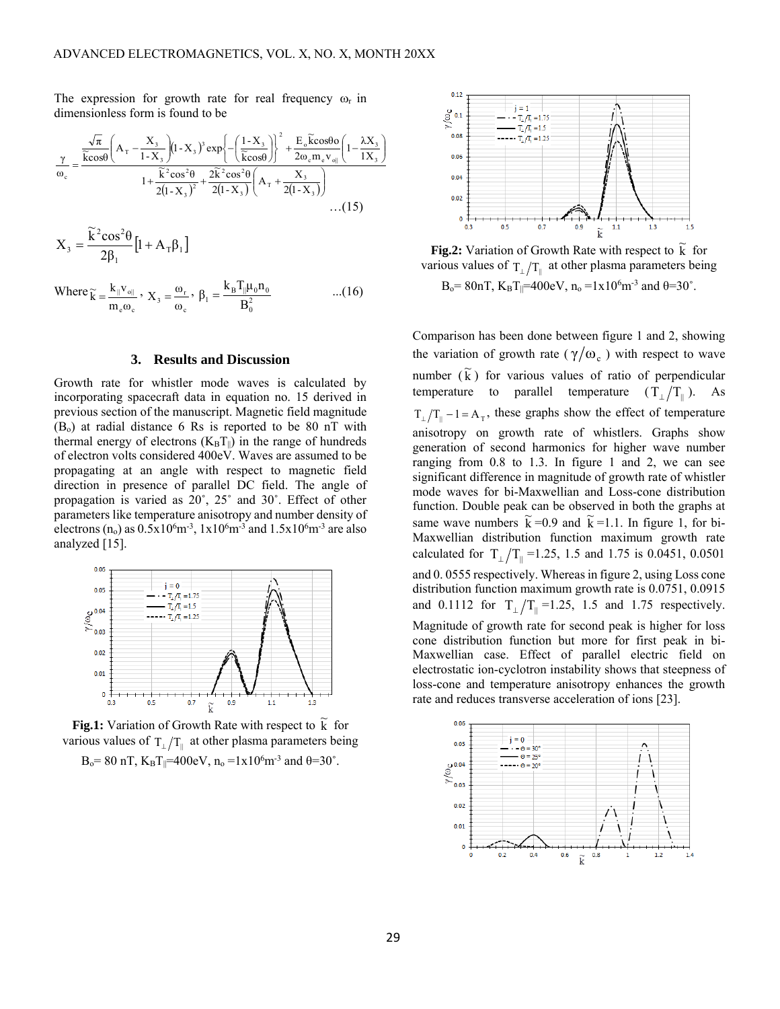dimensionless form is found to be

The expression for growth rate for real frequency 
$$
\omega_r
$$
 in  
dimensionless form is found to be  

$$
\frac{\gamma}{\omega_c} = \frac{\frac{\sqrt{\pi}}{\text{K} \cos \theta} \left( A_\text{T} - \frac{X_3}{1 - X_3} \right) \left( 1 - X_3 \right)^3 \exp \left\{ - \left( \frac{1 - X_3}{\text{K} \cos \theta} \right)^2 + \frac{E_\text{o} \tilde{\text{K}} \cos \theta \omega}{2\omega_c m_e v_{\text{o}} \right|} \left( 1 - \frac{\lambda X_3}{1 X_3} \right)}{1 + \frac{\tilde{\text{K}}^2 \cos^2 \theta}{2(1 - X_3)^2} + \frac{2\tilde{\text{K}}^2 \cos^2 \theta}{2(1 - X_3)} \left( A_\text{T} + \frac{X_3}{2(1 - X_3)} \right)}
$$
...(15)

$$
X_3 = \frac{\widetilde{k}^2 cos^2\theta}{2\beta_1} [1 + A_T \beta_1]
$$

Where 
$$
\widetilde{k} = \frac{k_{\parallel} v_{\parallel}}{m_e \omega_c}
$$
,  $X_3 = \frac{\omega_r}{\omega_c}$ ,  $\beta_1 = \frac{k_B T_{\parallel} \mu_0 n_0}{B_0^2}$  ...(16)

#### **3. Results and Discussion**

Growth rate for whistler mode waves is calculated by incorporating spacecraft data in equation no. 15 derived in previous section of the manuscript. Magnetic field magnitude  $(B<sub>o</sub>)$  at radial distance 6 Rs is reported to be 80 nT with thermal energy of electrons  $(K_B T_{\parallel})$  in the range of hundreds of electron volts considered 400eV. Waves are assumed to be propagating at an angle with respect to magnetic field direction in presence of parallel DC field. The angle of propagation is varied as 20˚, 25˚ and 30˚. Effect of other parameters like temperature anisotropy and number density of electrons (n<sub>o</sub>) as  $0.5x10^6m^{-3}$ ,  $1x10^6m^{-3}$  and  $1.5x10^6m^{-3}$  are also analyzed [15].



**Fig.1:** Variation of Growth Rate with respect to  $\tilde{k}$  for various values of  $T_{\perp}/T_{\parallel}$  at other plasma parameters being

$$
B_0 = 80
$$
 nT,  $K_B T_{\parallel} = 400$ eV,  $n_0 = 1 \times 10^6$ m<sup>-3</sup> and  $\theta = 30^\circ$ .



**Fig.2:** Variation of Growth Rate with respect to  $\tilde{k}$  for various values of  $T_1/T_{\parallel}$  at other plasma parameters being  $B_0 = 80nT$ ,  $K_B T_{\parallel} = 400eV$ ,  $n_0 = 1 \times 10^6 m^{-3}$  and  $\theta = 30^{\circ}$ .

Comparison has been done between figure 1 and 2, showing the variation of growth rate ( $\gamma/\omega_c$ ) with respect to wave number  $(\tilde{k})$  for various values of ratio of perpendicular temperature to parallel temperature  $(T_{\perp}/T_{\parallel})$ . As  $T_{\perp}/T_{\parallel} - 1 = A_{T}$ , these graphs show the effect of temperature anisotropy on growth rate of whistlers. Graphs show generation of second harmonics for higher wave number ranging from 0.8 to 1.3. In figure 1 and 2, we can see significant difference in magnitude of growth rate of whistler mode waves for bi-Maxwellian and Loss-cone distribution function. Double peak can be observed in both the graphs at same wave numbers  $\tilde{k} = 0.9$  and  $\tilde{k} = 1.1$ . In figure 1, for bi-Maxwellian distribution function maximum growth rate calculated for  $T_{\perp}/T_{\parallel} = 1.25, 1.5$  and 1.75 is 0.0451, 0.0501 and 0. 0555 respectively. Whereas in figure 2, using Loss cone distribution function maximum growth rate is 0.0751, 0.0915 and 0.1112 for  $T_{\perp}/T_{\parallel} = 1.25$ , 1.5 and 1.75 respectively. Magnitude of growth rate for second peak is higher for loss cone distribution function but more for first peak in bi-Maxwellian case. Effect of parallel electric field on electrostatic ion-cyclotron instability shows that steepness of loss-cone and temperature anisotropy enhances the growth rate and reduces transverse acceleration of ions [23].

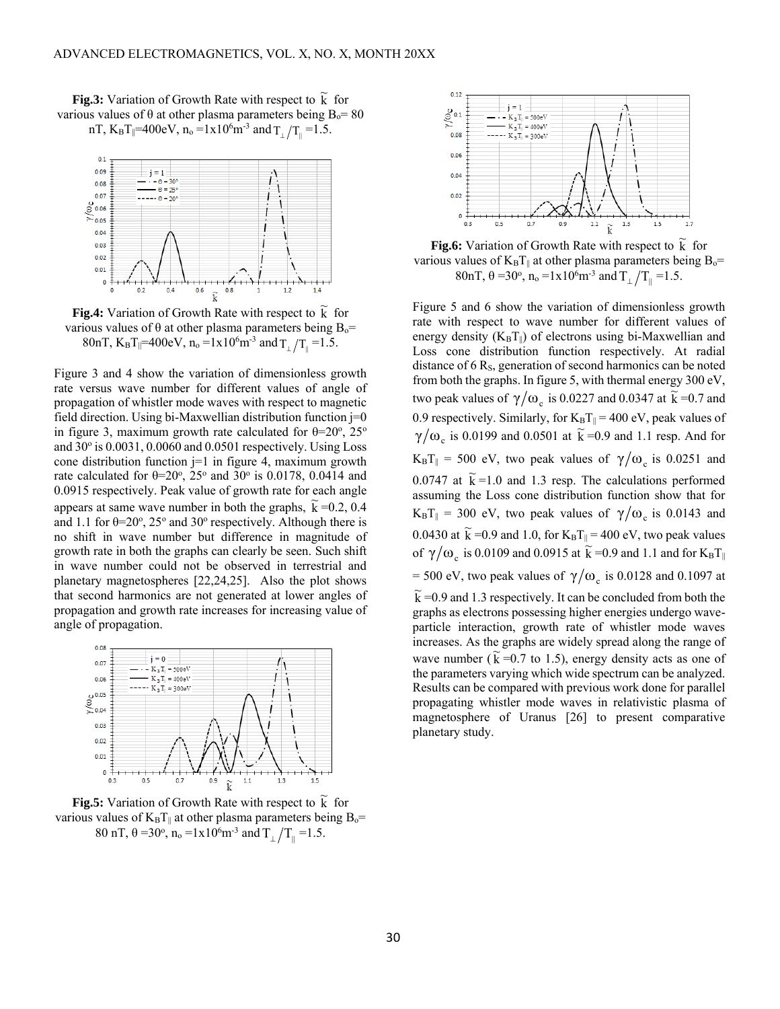

**Fig.3:** Variation of Growth Rate with respect to  $\tilde{k}$  for various values of θ at other plasma parameters being  $B_0 = 80$ nT, K<sub>B</sub>T<sub>||</sub>=400eV, n<sub>o</sub> =1x10<sup>6</sup>m<sup>-3</sup> and  $T_{\perp}/T_{\parallel}$  =1.5.

**Fig.4:** Variation of Growth Rate with respect to  $\tilde{k}$  for various values of  $\theta$  at other plasma parameters being B<sub>o</sub>= 80nT,  $K_B T_{\parallel} = 400 \text{eV}$ ,  $n_o = 1 \times 10^6 \text{m}^{-3}$  and  $T_{\perp}/T_{\parallel} = 1.5$ .

Figure 3 and 4 show the variation of dimensionless growth rate versus wave number for different values of angle of propagation of whistler mode waves with respect to magnetic field direction. Using bi-Maxwellian distribution function j=0 in figure 3, maximum growth rate calculated for  $\theta = 20^{\circ}$ ,  $25^{\circ}$ and 30° is 0.0031, 0.0060 and 0.0501 respectively. Using Loss cone distribution function  $j=1$  in figure 4, maximum growth rate calculated for  $\theta = 20^{\circ}$ ,  $25^{\circ}$  and  $30^{\circ}$  is 0.0178, 0.0414 and 0.0915 respectively. Peak value of growth rate for each angle appears at same wave number in both the graphs,  $\tilde{k} = 0.2, 0.4$ and 1.1 for  $\theta = 20^{\circ}$ ,  $25^{\circ}$  and  $30^{\circ}$  respectively. Although there is no shift in wave number but difference in magnitude of growth rate in both the graphs can clearly be seen. Such shift in wave number could not be observed in terrestrial and planetary magnetospheres [22,24,25]. Also the plot shows that second harmonics are not generated at lower angles of propagation and growth rate increases for increasing value of angle of propagation.



**Fig.5:** Variation of Growth Rate with respect to  $\tilde{k}$  for various values of  $K_B T_{\parallel}$  at other plasma parameters being B<sub>o</sub>= 80 nT,  $\theta = 30^{\circ}$ ,  $n_{o} = 1 \times 10^{6}$  m<sup>-3</sup> and  $T_{\perp}/T_{\parallel} = 1.5$ .



**Fig.6:** Variation of Growth Rate with respect to  $\tilde{k}$  for various values of  $K_B T_{\parallel}$  at other plasma parameters being  $B_0$ = 80nT, θ =30°, n<sub>o</sub> =1x10<sup>6</sup>m<sup>-3</sup> and  $T_{\perp}/T_{\parallel}$  =1.5.

Figure 5 and 6 show the variation of dimensionless growth rate with respect to wave number for different values of energy density  $(K_B T_{\parallel})$  of electrons using bi-Maxwellian and Loss cone distribution function respectively. At radial distance of  $6 R<sub>S</sub>$ , generation of second harmonics can be noted from both the graphs. In figure 5, with thermal energy 300 eV, two peak values of  $\gamma/\omega_c$  is 0.0227 and 0.0347 at  $\tilde{k} = 0.7$  and 0.9 respectively. Similarly, for  $K_B T_{\parallel} = 400 \text{ eV}$ , peak values of  $\gamma/\omega_c$  is 0.0199 and 0.0501 at  $\tilde{k} = 0.9$  and 1.1 resp. And for  $K_B T_{\parallel} = 500$  eV, two peak values of  $\gamma/\omega_c$  is 0.0251 and 0.0747 at  $\tilde{k}$  = 1.0 and 1.3 resp. The calculations performed assuming the Loss cone distribution function show that for  $K_B T_{\parallel} = 300$  eV, two peak values of  $\gamma/\omega_c$  is 0.0143 and 0.0430 at  $\widetilde{k}$  =0.9 and 1.0, for  $K_B T_{\parallel}$  = 400 eV, two peak values of  $\gamma/\omega_c$  is 0.0109 and 0.0915 at  $\tilde{k} = 0.9$  and 1.1 and for  $K_B T_{\parallel}$ = 500 eV, two peak values of  $\gamma/\omega_c$  is 0.0128 and 0.1097 at

 $\widetilde{k}$  =0.9 and 1.3 respectively. It can be concluded from both the graphs as electrons possessing higher energies undergo waveparticle interaction, growth rate of whistler mode waves increases. As the graphs are widely spread along the range of wave number  $(\tilde{k} = 0.7 \text{ to } 1.5)$ , energy density acts as one of the parameters varying which wide spectrum can be analyzed. Results can be compared with previous work done for parallel propagating whistler mode waves in relativistic plasma of magnetosphere of Uranus [26] to present comparative planetary study.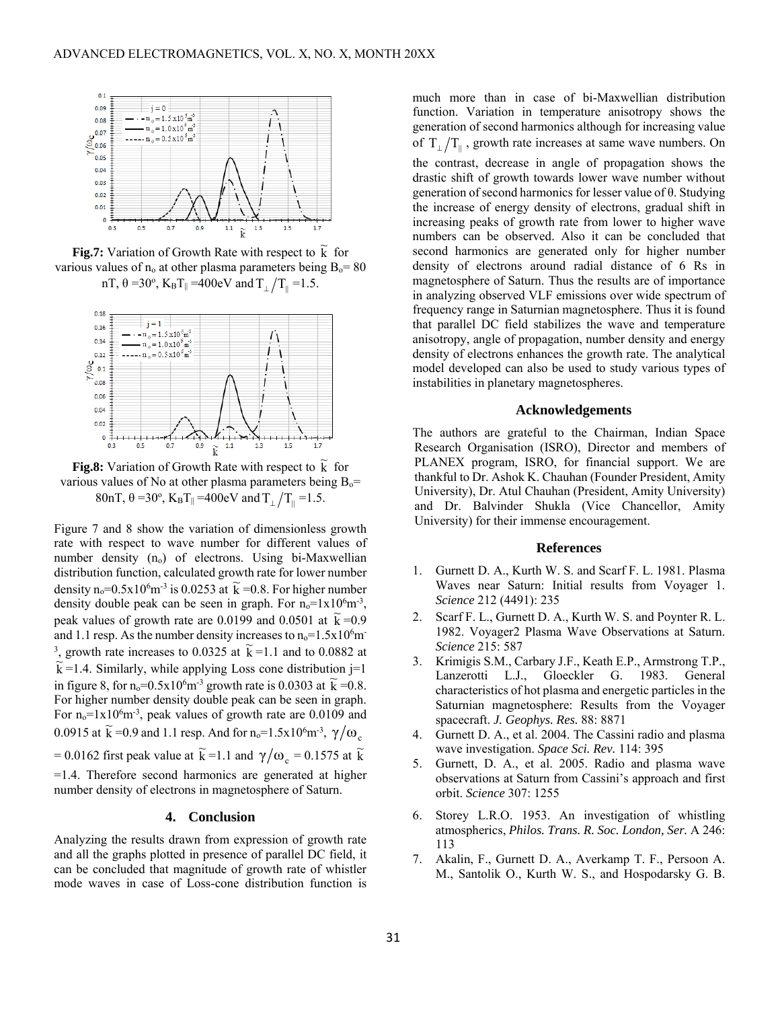

**Fig.7:** Variation of Growth Rate with respect to  $\tilde{k}$  for various values of  $n_0$  at other plasma parameters being  $B_0 = 80$ nT, θ =30°, K<sub>B</sub>T<sub>||</sub> =400eV and  $T_{\perp}/T_{\parallel}$  =1.5.



**Fig.8:** Variation of Growth Rate with respect to  $\tilde{k}$  for various values of No at other plasma parameters being  $B_0=$ 80nT, θ =30°, K<sub>B</sub>T<sub>||</sub> =400eV and T<sub>⊥</sub>/T<sub>||</sub> =1.5.

Figure 7 and 8 show the variation of dimensionless growth rate with respect to wave number for different values of number density  $(n_0)$  of electrons. Using bi-Maxwellian distribution function, calculated growth rate for lower number density  $n_0$ =0.5x10<sup>6</sup>m<sup>-3</sup> is 0.0253 at  $\tilde{k}$  =0.8. For higher number density double peak can be seen in graph. For  $n_0 = 1 \times 10^6$  m<sup>-3</sup>, peak values of growth rate are 0.0199 and 0.0501 at  $\tilde{k} = 0.9$ and 1.1 resp. As the number density increases to  $n_0=1.5x10^6$ m 3, growth rate increases to 0.0325 at  $\tilde{k} = 1.1$  and to 0.0882 at  $k = 1.4$ . Similarly, while applying Loss cone distribution j=1 in figure 8, for  $n_0 = 0.5x10^6m^3$  growth rate is 0.0303 at  $\tilde{k} = 0.8$ . For higher number density double peak can be seen in graph. For  $n_0 = 1 \times 10^6$  m<sup>-3</sup>, peak values of growth rate are 0.0109 and 0.0915 at  $\widetilde{k}$  =0.9 and 1.1 resp. And for n<sub>o</sub>=1.5x10<sup>6</sup>m<sup>-3</sup>,  $\gamma/\omega_c$ = 0.0162 first peak value at  $\widetilde{k}$  = 1.1 and  $\gamma/\omega_c$  = 0.1575 at  $\widetilde{k}$ =1.4. Therefore second harmonics are generated at higher number density of electrons in magnetosphere of Saturn.

## **4. Conclusion**

Analyzing the results drawn from expression of growth rate and all the graphs plotted in presence of parallel DC field, it can be concluded that magnitude of growth rate of whistler mode waves in case of Loss-cone distribution function is much more than in case of bi-Maxwellian distribution function. Variation in temperature anisotropy shows the generation of second harmonics although for increasing value of  $T_{\perp}/T_{\parallel}$ , growth rate increases at same wave numbers. On

the contrast, decrease in angle of propagation shows the drastic shift of growth towards lower wave number without generation of second harmonics for lesser value of θ. Studying the increase of energy density of electrons, gradual shift in increasing peaks of growth rate from lower to higher wave numbers can be observed. Also it can be concluded that second harmonics are generated only for higher number density of electrons around radial distance of 6 Rs in magnetosphere of Saturn. Thus the results are of importance in analyzing observed VLF emissions over wide spectrum of frequency range in Saturnian magnetosphere. Thus it is found that parallel DC field stabilizes the wave and temperature anisotropy, angle of propagation, number density and energy density of electrons enhances the growth rate. The analytical model developed can also be used to study various types of instabilities in planetary magnetospheres.

#### **Acknowledgements**

The authors are grateful to the Chairman, Indian Space Research Organisation (ISRO), Director and members of PLANEX program, ISRO, for financial support. We are thankful to Dr. Ashok K. Chauhan (Founder President, Amity University), Dr. Atul Chauhan (President, Amity University) and Dr. Balvinder Shukla (Vice Chancellor, Amity University) for their immense encouragement.

## **References**

- 1. Gurnett D. A., Kurth W. S. and Scarf F. L. 1981. Plasma Waves near Saturn: Initial results from Voyager 1. *Science* 212 (4491): 235
- 2. Scarf F. L., Gurnett D. A., Kurth W. S. and Poynter R. L. 1982. Voyager2 Plasma Wave Observations at Saturn. *Science* 215: 587
- 3. Krimigis S.M., Carbary J.F., Keath E.P., Armstrong T.P., Lanzerotti L.J., Gloeckler G. 1983. General characteristics of hot plasma and energetic particles in the Saturnian magnetosphere: Results from the Voyager spacecraft. *J. Geophys. Res.* 88: 8871
- 4. Gurnett D. A., et al. 2004. The Cassini radio and plasma wave investigation. *Space Sci. Rev.* 114: 395
- 5. Gurnett, D. A., et al. 2005. Radio and plasma wave observations at Saturn from Cassini's approach and first orbit. *Science* 307: 1255
- 6. Storey L.R.O. 1953. An investigation of whistling atmospherics, *Philos. Trans. R. Soc. London, Ser.* A 246: 113
- 7. Akalin, F., Gurnett D. A., Averkamp T. F., Persoon A. M., Santolik O., Kurth W. S., and Hospodarsky G. B.